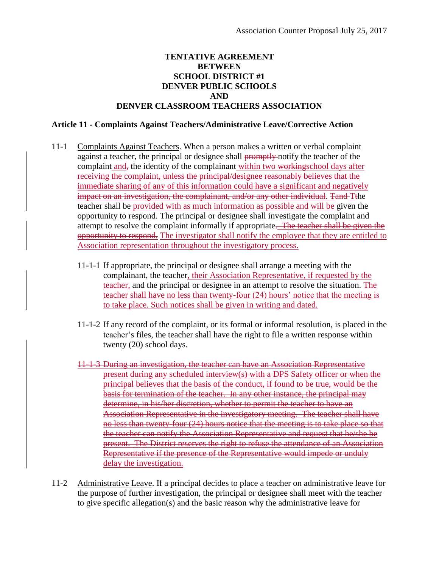## **TENTATIVE AGREEMENT BETWEEN SCHOOL DISTRICT #1 DENVER PUBLIC SCHOOLS AND DENVER CLASSROOM TEACHERS ASSOCIATION**

## **Article 11 - Complaints Against Teachers/Administrative Leave/Corrective Action**

- 11-1 Complaints Against Teachers. When a person makes a written or verbal complaint against a teacher, the principal or designee shall promptly notify the teacher of the complaint and, the identity of the complainant within two workingschool days after receiving the complaint<del>, unless the principal/designee reasonably believes that the</del> immediate sharing of any of this information could have a significant and negatively impact on an investigation, the complainant, and/or any other individual. Tand Tthe teacher shall be provided with as much information as possible and will be given the opportunity to respond. The principal or designee shall investigate the complaint and attempt to resolve the complaint informally if appropriate. The teacher shall be given the opportunity to respond. The investigator shall notify the employee that they are entitled to Association representation throughout the investigatory process.
	- 11-1-1 If appropriate, the principal or designee shall arrange a meeting with the complainant, the teacher, their Association Representative, if requested by the teacher, and the principal or designee in an attempt to resolve the situation. The teacher shall have no less than twenty-four (24) hours' notice that the meeting is to take place. Such notices shall be given in writing and dated.
	- 11-1-2 If any record of the complaint, or its formal or informal resolution, is placed in the teacher's files, the teacher shall have the right to file a written response within twenty (20) school days.
	- 11-1-3 During an investigation, the teacher can have an Association Representative present during any scheduled interview(s) with a DPS Safety officer or when the principal believes that the basis of the conduct, if found to be true, would be the basis for termination of the teacher. In any other instance, the principal may determine, in his/her discretion, whether to permit the teacher to have an Association Representative in the investigatory meeting. The teacher shall have no less than twenty-four (24) hours notice that the meeting is to take place so that the teacher can notify the Association Representative and request that he/she be present. The District reserves the right to refuse the attendance of an Association Representative if the presence of the Representative would impede or unduly delay the investigation.
- 11-2 Administrative Leave. If a principal decides to place a teacher on administrative leave for the purpose of further investigation, the principal or designee shall meet with the teacher to give specific allegation(s) and the basic reason why the administrative leave for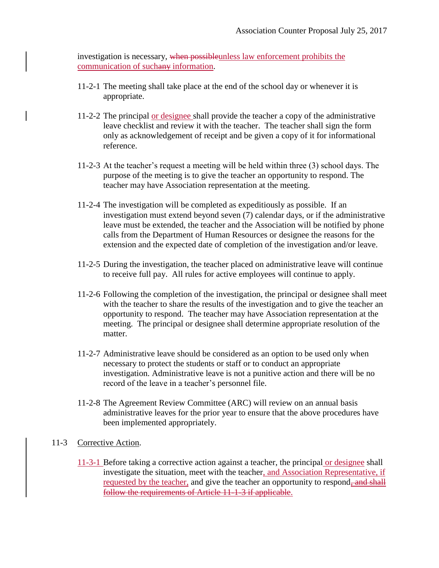investigation is necessary, when possibleunless law enforcement prohibits the communication of suchany information.

- 11-2-1 The meeting shall take place at the end of the school day or whenever it is appropriate.
- 11-2-2 The principal or designee shall provide the teacher a copy of the administrative leave checklist and review it with the teacher. The teacher shall sign the form only as acknowledgement of receipt and be given a copy of it for informational reference.
- 11-2-3 At the teacher's request a meeting will be held within three (3) school days. The purpose of the meeting is to give the teacher an opportunity to respond. The teacher may have Association representation at the meeting.
- 11-2-4 The investigation will be completed as expeditiously as possible. If an investigation must extend beyond seven (7) calendar days, or if the administrative leave must be extended, the teacher and the Association will be notified by phone calls from the Department of Human Resources or designee the reasons for the extension and the expected date of completion of the investigation and/or leave.
- 11-2-5 During the investigation, the teacher placed on administrative leave will continue to receive full pay. All rules for active employees will continue to apply.
- 11-2-6 Following the completion of the investigation, the principal or designee shall meet with the teacher to share the results of the investigation and to give the teacher an opportunity to respond. The teacher may have Association representation at the meeting. The principal or designee shall determine appropriate resolution of the matter.
- 11-2-7 Administrative leave should be considered as an option to be used only when necessary to protect the students or staff or to conduct an appropriate investigation. Administrative leave is not a punitive action and there will be no record of the leave in a teacher's personnel file.
- 11-2-8 The Agreement Review Committee (ARC) will review on an annual basis administrative leaves for the prior year to ensure that the above procedures have been implemented appropriately.

## 11-3 Corrective Action.

11-3-1 Before taking a corrective action against a teacher, the principal or designee shall investigate the situation, meet with the teacher, and Association Representative, if requested by the teacher, and give the teacher an opportunity to respond, and shall follow the requirements of Article 11-1-3 if applicable.